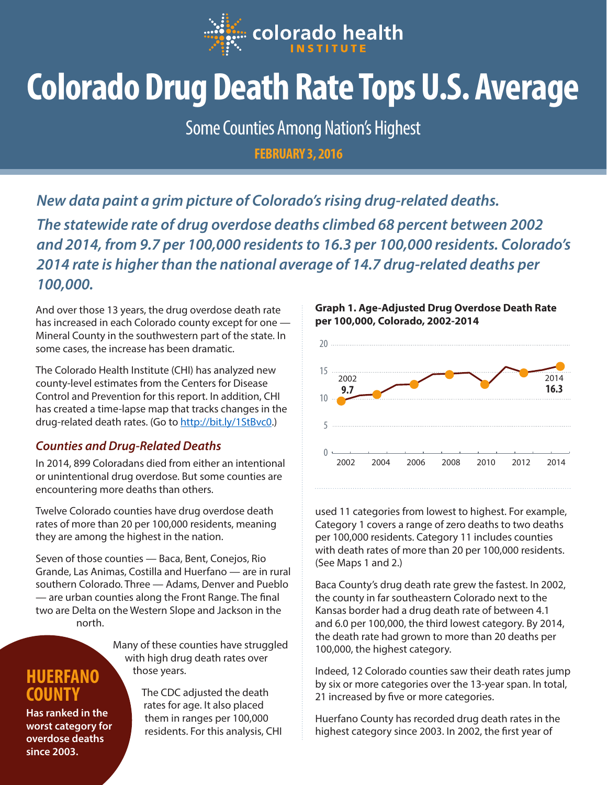

# **Colorado Drug Death Rate Tops U.S. Average**

Some Counties Among Nation's Highest

**FEBRUARY 3, 2016**

*New data paint a grim picture of Colorado's rising drug-related deaths. The statewide rate of drug overdose deaths climbed 68 percent between 2002 and 2014, from 9.7 per 100,000 residents to 16.3 per 100,000 residents. Colorado's 2014 rate is higher than the national average of 14.7 drug-related deaths per 100,000.* 

And over those 13 years, the drug overdose death rate has increased in each Colorado county except for one — Mineral County in the southwestern part of the state. In some cases, the increase has been dramatic.

The Colorado Health Institute (CHI) has analyzed new county-level estimates from the Centers for Disease Control and Prevention for this report. In addition, CHI has created a time-lapse map that tracks changes in the drug-related death rates. (Go to<http://bit.ly/1StBvc0>.)

## *Counties and Drug-Related Deaths*

In 2014, 899 Coloradans died from either an intentional or unintentional drug overdose. But some counties are encountering more deaths than others.

Twelve Colorado counties have drug overdose death rates of more than 20 per 100,000 residents, meaning they are among the highest in the nation.

Seven of those counties — Baca, Bent, Conejos, Rio Grande, Las Animas, Costilla and Huerfano — are in rural southern Colorado. Three — Adams, Denver and Pueblo — are urban counties along the Front Range. The final two are Delta on the Western Slope and Jackson in the north.

> Many of these counties have struggled with high drug death rates over those years.

**COUNTY Has ranked in the worst category for overdose deaths since 2003.**

**HUERFANO** 

The CDC adjusted the death rates for age. It also placed them in ranges per 100,000 residents. For this analysis, CHI



used 11 categories from lowest to highest. For example, Category 1 covers a range of zero deaths to two deaths per 100,000 residents. Category 11 includes counties with death rates of more than 20 per 100,000 residents. (See Maps 1 and 2.)

Baca County's drug death rate grew the fastest. In 2002, the county in far southeastern Colorado next to the Kansas border had a drug death rate of between 4.1 and 6.0 per 100,000, the third lowest category. By 2014, the death rate had grown to more than 20 deaths per 100,000, the highest category.

Indeed, 12 Colorado counties saw their death rates jump by six or more categories over the 13-year span. In total, 21 increased by five or more categories.

Huerfano County has recorded drug death rates in the highest category since 2003. In 2002, the first year of

### **Graph 1. Age-Adjusted Drug Overdose Death Rate per 100,000, Colorado, 2002-2014**